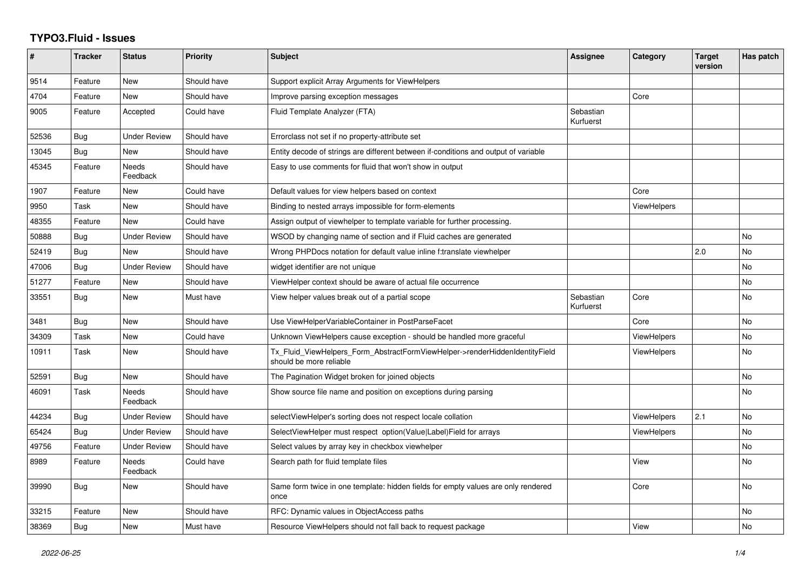## **TYPO3.Fluid - Issues**

| #     | <b>Tracker</b> | <b>Status</b>       | <b>Priority</b> | <b>Subject</b>                                                                                         | Assignee               | Category           | <b>Target</b><br>version | Has patch |
|-------|----------------|---------------------|-----------------|--------------------------------------------------------------------------------------------------------|------------------------|--------------------|--------------------------|-----------|
| 9514  | Feature        | New                 | Should have     | Support explicit Array Arguments for ViewHelpers                                                       |                        |                    |                          |           |
| 4704  | Feature        | <b>New</b>          | Should have     | Improve parsing exception messages                                                                     |                        | Core               |                          |           |
| 9005  | Feature        | Accepted            | Could have      | Fluid Template Analyzer (FTA)                                                                          | Sebastian<br>Kurfuerst |                    |                          |           |
| 52536 | Bug            | <b>Under Review</b> | Should have     | Errorclass not set if no property-attribute set                                                        |                        |                    |                          |           |
| 13045 | Bug            | <b>New</b>          | Should have     | Entity decode of strings are different between if-conditions and output of variable                    |                        |                    |                          |           |
| 45345 | Feature        | Needs<br>Feedback   | Should have     | Easy to use comments for fluid that won't show in output                                               |                        |                    |                          |           |
| 1907  | Feature        | New                 | Could have      | Default values for view helpers based on context                                                       |                        | Core               |                          |           |
| 9950  | Task           | New                 | Should have     | Binding to nested arrays impossible for form-elements                                                  |                        | <b>ViewHelpers</b> |                          |           |
| 48355 | Feature        | <b>New</b>          | Could have      | Assign output of viewhelper to template variable for further processing.                               |                        |                    |                          |           |
| 50888 | <b>Bug</b>     | <b>Under Review</b> | Should have     | WSOD by changing name of section and if Fluid caches are generated                                     |                        |                    |                          | No        |
| 52419 | Bug            | New                 | Should have     | Wrong PHPDocs notation for default value inline f:translate viewhelper                                 |                        |                    | 2.0                      | <b>No</b> |
| 47006 | <b>Bug</b>     | <b>Under Review</b> | Should have     | widget identifier are not unique                                                                       |                        |                    |                          | <b>No</b> |
| 51277 | Feature        | New                 | Should have     | ViewHelper context should be aware of actual file occurrence                                           |                        |                    |                          | No        |
| 33551 | Bug            | <b>New</b>          | Must have       | View helper values break out of a partial scope                                                        | Sebastian<br>Kurfuerst | Core               |                          | <b>No</b> |
| 3481  | Bug            | New                 | Should have     | Use ViewHelperVariableContainer in PostParseFacet                                                      |                        | Core               |                          | <b>No</b> |
| 34309 | Task           | New                 | Could have      | Unknown ViewHelpers cause exception - should be handled more graceful                                  |                        | <b>ViewHelpers</b> |                          | No        |
| 10911 | Task           | New                 | Should have     | Tx_Fluid_ViewHelpers_Form_AbstractFormViewHelper->renderHiddenIdentityField<br>should be more reliable |                        | <b>ViewHelpers</b> |                          | No.       |
| 52591 | Bug            | New                 | Should have     | The Pagination Widget broken for joined objects                                                        |                        |                    |                          | No        |
| 46091 | Task           | Needs<br>Feedback   | Should have     | Show source file name and position on exceptions during parsing                                        |                        |                    |                          | <b>No</b> |
| 44234 | Bug            | <b>Under Review</b> | Should have     | selectViewHelper's sorting does not respect locale collation                                           |                        | <b>ViewHelpers</b> | 2.1                      | No        |
| 65424 | Bug            | <b>Under Review</b> | Should have     | SelectViewHelper must respect option(Value Label)Field for arrays                                      |                        | <b>ViewHelpers</b> |                          | <b>No</b> |
| 49756 | Feature        | <b>Under Review</b> | Should have     | Select values by array key in checkbox viewhelper                                                      |                        |                    |                          | <b>No</b> |
| 8989  | Feature        | Needs<br>Feedback   | Could have      | Search path for fluid template files                                                                   |                        | View               |                          | <b>No</b> |
| 39990 | <b>Bug</b>     | New                 | Should have     | Same form twice in one template: hidden fields for empty values are only rendered<br>once              |                        | Core               |                          | <b>No</b> |
| 33215 | Feature        | New                 | Should have     | RFC: Dynamic values in ObjectAccess paths                                                              |                        |                    |                          | No.       |
| 38369 | Bug            | New                 | Must have       | Resource ViewHelpers should not fall back to request package                                           |                        | View               |                          | No        |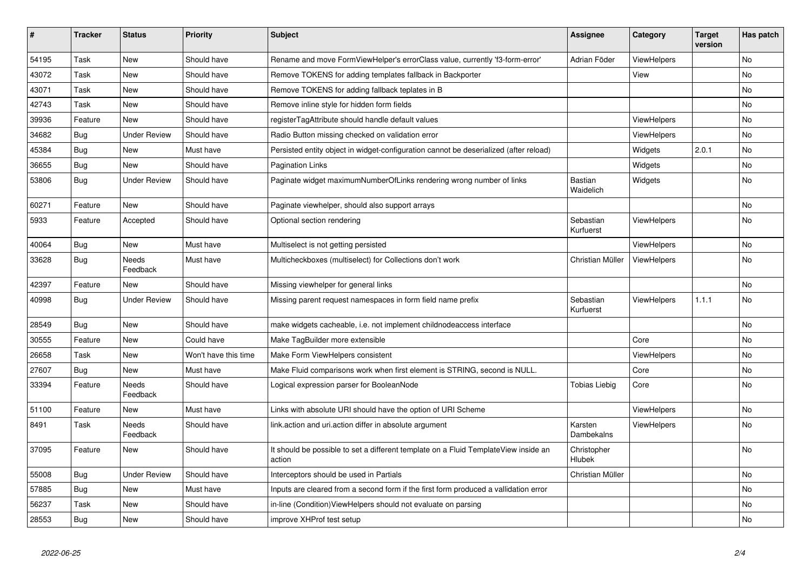| #     | <b>Tracker</b> | <b>Status</b>            | <b>Priority</b>      | Subject                                                                                       | <b>Assignee</b>             | Category           | <b>Target</b><br>version | Has patch |
|-------|----------------|--------------------------|----------------------|-----------------------------------------------------------------------------------------------|-----------------------------|--------------------|--------------------------|-----------|
| 54195 | Task           | <b>New</b>               | Should have          | Rename and move FormViewHelper's errorClass value, currently 'f3-form-error'                  | Adrian Föder                | ViewHelpers        |                          | No.       |
| 43072 | Task           | New                      | Should have          | Remove TOKENS for adding templates fallback in Backporter                                     |                             | View               |                          | No        |
| 43071 | Task           | New                      | Should have          | Remove TOKENS for adding fallback teplates in B                                               |                             |                    |                          | No        |
| 42743 | Task           | New                      | Should have          | Remove inline style for hidden form fields                                                    |                             |                    |                          | No        |
| 39936 | Feature        | <b>New</b>               | Should have          | registerTagAttribute should handle default values                                             |                             | <b>ViewHelpers</b> |                          | No        |
| 34682 | Bug            | <b>Under Review</b>      | Should have          | Radio Button missing checked on validation error                                              |                             | <b>ViewHelpers</b> |                          | No        |
| 45384 | Bug            | New                      | Must have            | Persisted entity object in widget-configuration cannot be deserialized (after reload)         |                             | Widgets            | 2.0.1                    | No        |
| 36655 | Bug            | <b>New</b>               | Should have          | <b>Pagination Links</b>                                                                       |                             | Widgets            |                          | No        |
| 53806 | <b>Bug</b>     | <b>Under Review</b>      | Should have          | Paginate widget maximumNumberOfLinks rendering wrong number of links                          | <b>Bastian</b><br>Waidelich | Widgets            |                          | No        |
| 60271 | Feature        | <b>New</b>               | Should have          | Paginate viewhelper, should also support arrays                                               |                             |                    |                          | No        |
| 5933  | Feature        | Accepted                 | Should have          | Optional section rendering                                                                    | Sebastian<br>Kurfuerst      | <b>ViewHelpers</b> |                          | No        |
| 40064 | Bug            | New                      | Must have            | Multiselect is not getting persisted                                                          |                             | ViewHelpers        |                          | No        |
| 33628 | <b>Bug</b>     | <b>Needs</b><br>Feedback | Must have            | Multicheckboxes (multiselect) for Collections don't work                                      | Christian Müller            | ViewHelpers        |                          | <b>No</b> |
| 42397 | Feature        | <b>New</b>               | Should have          | Missing viewhelper for general links                                                          |                             |                    |                          | <b>No</b> |
| 40998 | <b>Bug</b>     | <b>Under Review</b>      | Should have          | Missing parent request namespaces in form field name prefix                                   | Sebastian<br>Kurfuerst      | ViewHelpers        | 1.1.1                    | <b>No</b> |
| 28549 | <b>Bug</b>     | New                      | Should have          | make widgets cacheable, i.e. not implement childnodeaccess interface                          |                             |                    |                          | No        |
| 30555 | Feature        | New                      | Could have           | Make TagBuilder more extensible                                                               |                             | Core               |                          | No        |
| 26658 | Task           | <b>New</b>               | Won't have this time | Make Form ViewHelpers consistent                                                              |                             | <b>ViewHelpers</b> |                          | No        |
| 27607 | Bug            | <b>New</b>               | Must have            | Make Fluid comparisons work when first element is STRING, second is NULL.                     |                             | Core               |                          | No.       |
| 33394 | Feature        | Needs<br>Feedback        | Should have          | Logical expression parser for BooleanNode                                                     | Tobias Liebig               | Core               |                          | No        |
| 51100 | Feature        | New                      | Must have            | Links with absolute URI should have the option of URI Scheme                                  |                             | ViewHelpers        |                          | No        |
| 8491  | Task           | Needs<br>Feedback        | Should have          | link.action and uri.action differ in absolute argument                                        | Karsten<br>Dambekalns       | ViewHelpers        |                          | No        |
| 37095 | Feature        | New                      | Should have          | It should be possible to set a different template on a Fluid TemplateView inside an<br>action | Christopher<br>Hlubek       |                    |                          | No        |
| 55008 | Bug            | <b>Under Review</b>      | Should have          | Interceptors should be used in Partials                                                       | Christian Müller            |                    |                          | No        |
| 57885 | Bug            | New                      | Must have            | Inputs are cleared from a second form if the first form produced a vallidation error          |                             |                    |                          | No        |
| 56237 | Task           | New                      | Should have          | in-line (Condition) View Helpers should not evaluate on parsing                               |                             |                    |                          | No        |
| 28553 | Bug            | New                      | Should have          | improve XHProf test setup                                                                     |                             |                    |                          | No        |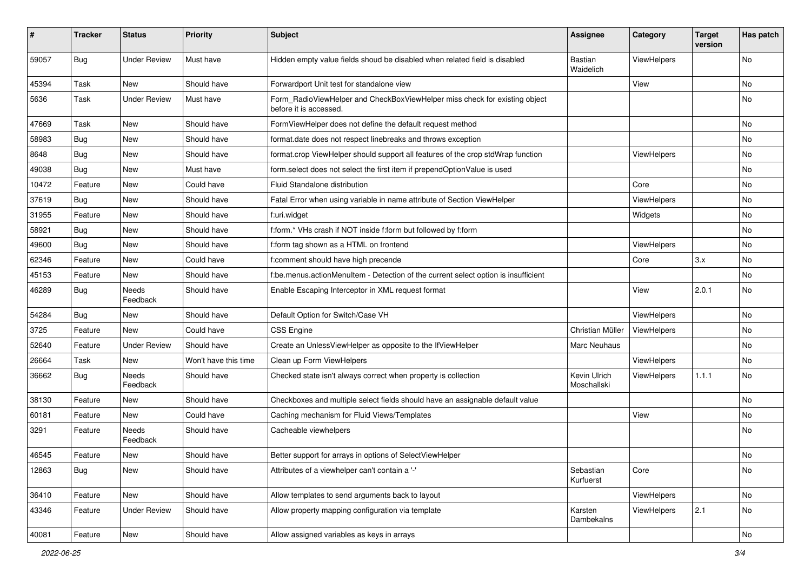| ∦     | <b>Tracker</b> | <b>Status</b>            | <b>Priority</b>      | <b>Subject</b>                                                                                       | <b>Assignee</b>             | Category    | <b>Target</b><br>version | Has patch |
|-------|----------------|--------------------------|----------------------|------------------------------------------------------------------------------------------------------|-----------------------------|-------------|--------------------------|-----------|
| 59057 | Bug            | <b>Under Review</b>      | Must have            | Hidden empty value fields shoud be disabled when related field is disabled                           | Bastian<br>Waidelich        | ViewHelpers |                          | No        |
| 45394 | Task           | New                      | Should have          | Forwardport Unit test for standalone view                                                            |                             | View        |                          | No        |
| 5636  | Task           | <b>Under Review</b>      | Must have            | Form_RadioViewHelper and CheckBoxViewHelper miss check for existing object<br>before it is accessed. |                             |             |                          | No        |
| 47669 | Task           | <b>New</b>               | Should have          | FormViewHelper does not define the default request method                                            |                             |             |                          | No.       |
| 58983 | Bug            | New                      | Should have          | format.date does not respect linebreaks and throws exception                                         |                             |             |                          | No        |
| 8648  | Bug            | New                      | Should have          | format.crop ViewHelper should support all features of the crop stdWrap function                      |                             | ViewHelpers |                          | No        |
| 49038 | Bug            | New                      | Must have            | form.select does not select the first item if prependOptionValue is used                             |                             |             |                          | No        |
| 10472 | Feature        | New                      | Could have           | <b>Fluid Standalone distribution</b>                                                                 |                             | Core        |                          | No        |
| 37619 | Bug            | New                      | Should have          | Fatal Error when using variable in name attribute of Section ViewHelper                              |                             | ViewHelpers |                          | No        |
| 31955 | Feature        | New                      | Should have          | f:uri.widget                                                                                         |                             | Widgets     |                          | No        |
| 58921 | Bug            | New                      | Should have          | f:form.* VHs crash if NOT inside f:form but followed by f:form                                       |                             |             |                          | No        |
| 49600 | Bug            | <b>New</b>               | Should have          | f:form tag shown as a HTML on frontend                                                               |                             | ViewHelpers |                          | No        |
| 62346 | Feature        | New                      | Could have           | f:comment should have high precende                                                                  |                             | Core        | 3.x                      | No        |
| 45153 | Feature        | New                      | Should have          | f:be.menus.actionMenuItem - Detection of the current select option is insufficient                   |                             |             |                          | No        |
| 46289 | Bug            | <b>Needs</b><br>Feedback | Should have          | Enable Escaping Interceptor in XML request format                                                    |                             | View        | 2.0.1                    | No        |
| 54284 | Bug            | New                      | Should have          | Default Option for Switch/Case VH                                                                    |                             | ViewHelpers |                          | No.       |
| 3725  | Feature        | New                      | Could have           | <b>CSS Engine</b>                                                                                    | Christian Müller            | ViewHelpers |                          | No        |
| 52640 | Feature        | <b>Under Review</b>      | Should have          | Create an UnlessViewHelper as opposite to the IfViewHelper                                           | <b>Marc Neuhaus</b>         |             |                          | No        |
| 26664 | <b>Task</b>    | New                      | Won't have this time | Clean up Form ViewHelpers                                                                            |                             | ViewHelpers |                          | No        |
| 36662 | Bug            | Needs<br>Feedback        | Should have          | Checked state isn't always correct when property is collection                                       | Kevin Ulrich<br>Moschallski | ViewHelpers | 1.1.1                    | No        |
| 38130 | Feature        | New                      | Should have          | Checkboxes and multiple select fields should have an assignable default value                        |                             |             |                          | No        |
| 60181 | Feature        | New                      | Could have           | Caching mechanism for Fluid Views/Templates                                                          |                             | View        |                          | No        |
| 3291  | Feature        | <b>Needs</b><br>Feedback | Should have          | Cacheable viewhelpers                                                                                |                             |             |                          | No        |
| 46545 | Feature        | New                      | Should have          | Better support for arrays in options of SelectViewHelper                                             |                             |             |                          | No        |
| 12863 | <b>Bug</b>     | New                      | Should have          | Attributes of a viewhelper can't contain a '-'                                                       | Sebastian<br>Kurfuerst      | Core        |                          | No        |
| 36410 | Feature        | New                      | Should have          | Allow templates to send arguments back to layout                                                     |                             | ViewHelpers |                          | No        |
| 43346 | Feature        | <b>Under Review</b>      | Should have          | Allow property mapping configuration via template                                                    | Karsten<br>Dambekalns       | ViewHelpers | 2.1                      | No        |
| 40081 | Feature        | New                      | Should have          | Allow assigned variables as keys in arrays                                                           |                             |             |                          | No        |